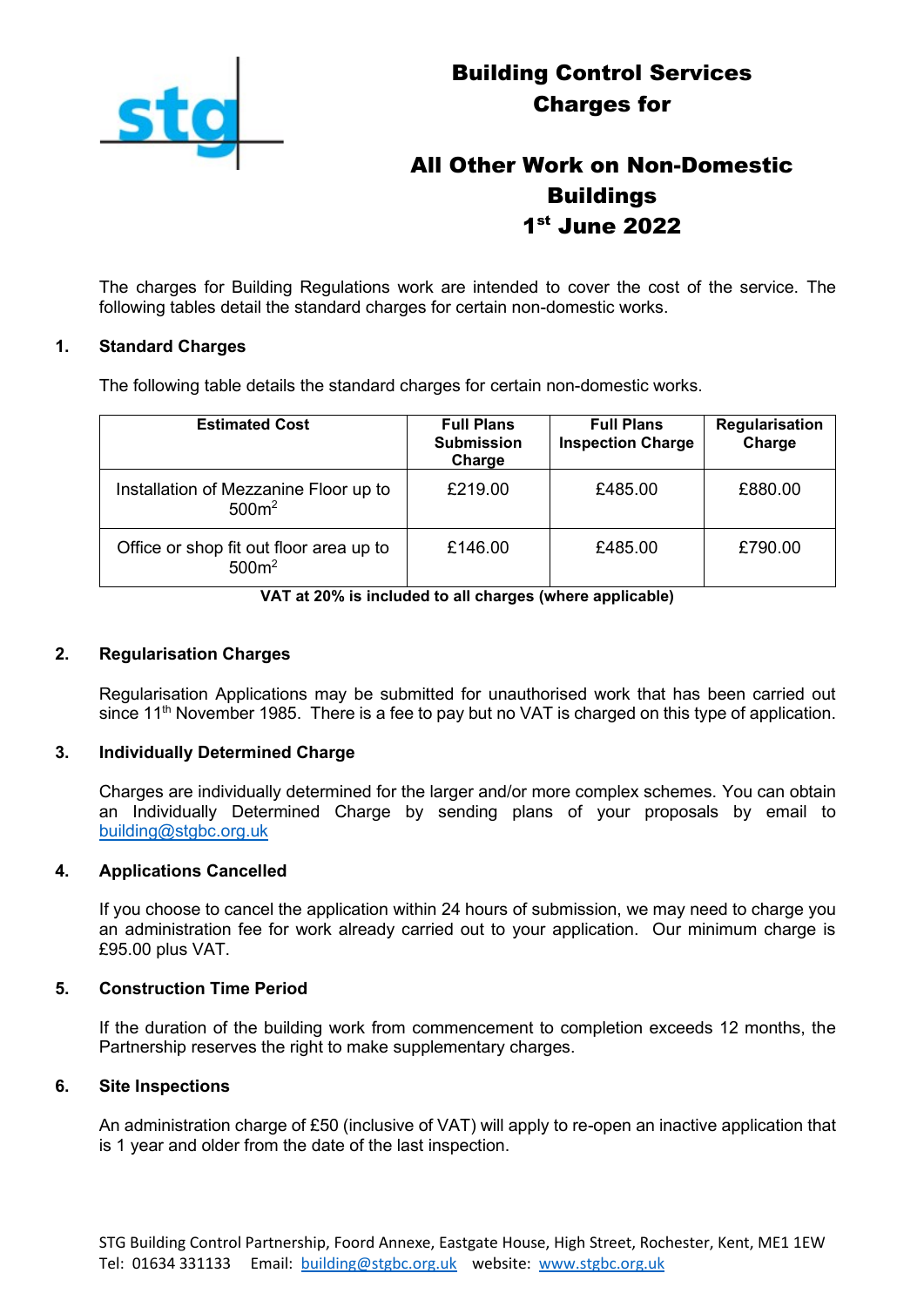

# All Other Work on Non-Domestic **Buildings** 1 st June 2022

The charges for Building Regulations work are intended to cover the cost of the service. The following tables detail the standard charges for certain non-domestic works.

#### **1. Standard Charges**

The following table details the standard charges for certain non-domestic works.

| <b>Estimated Cost</b>                                        | <b>Full Plans</b><br><b>Submission</b><br>Charge | <b>Full Plans</b><br><b>Inspection Charge</b> | Regularisation<br>Charge |
|--------------------------------------------------------------|--------------------------------------------------|-----------------------------------------------|--------------------------|
| Installation of Mezzanine Floor up to<br>500m <sup>2</sup>   | £219.00                                          | £485.00                                       | £880.00                  |
| Office or shop fit out floor area up to<br>500m <sup>2</sup> | £146.00                                          | £485.00                                       | £790.00                  |

**VAT at 20% is included to all charges (where applicable)**

### **2. Regularisation Charges**

Regularisation Applications may be submitted for unauthorised work that has been carried out since 11<sup>th</sup> November 1985. There is a fee to pay but no VAT is charged on this type of application.

#### **3. Individually Determined Charge**

Charges are individually determined for the larger and/or more complex schemes. You can obtain an Individually Determined Charge by sending plans of your proposals by email to [building@stgbc.org.uk](mailto:building@stgbc.org.uk)

#### **4. Applications Cancelled**

If you choose to cancel the application within 24 hours of submission, we may need to charge you an administration fee for work already carried out to your application. Our minimum charge is £95.00 plus VAT.

#### **5. Construction Time Period**

If the duration of the building work from commencement to completion exceeds 12 months, the Partnership reserves the right to make supplementary charges.

#### **6. Site Inspections**

An administration charge of £50 (inclusive of VAT) will apply to re-open an inactive application that is 1 year and older from the date of the last inspection.